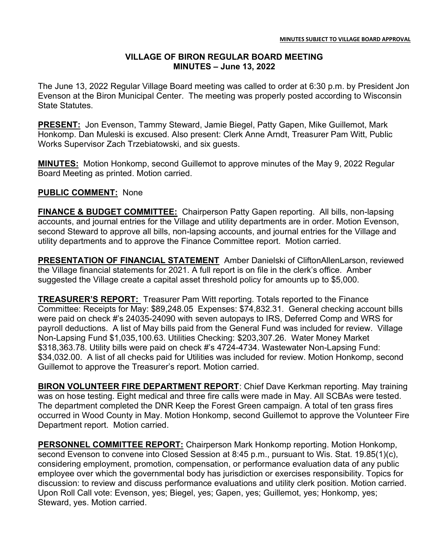## VILLAGE OF BIRON REGULAR BOARD MEETING MINUTES – June 13, 2022

The June 13, 2022 Regular Village Board meeting was called to order at 6:30 p.m. by President Jon Evenson at the Biron Municipal Center. The meeting was properly posted according to Wisconsin State Statutes.

PRESENT: Jon Evenson, Tammy Steward, Jamie Biegel, Patty Gapen, Mike Guillemot, Mark Honkomp. Dan Muleski is excused. Also present: Clerk Anne Arndt, Treasurer Pam Witt, Public Works Supervisor Zach Trzebiatowski, and six guests.

MINUTES: Motion Honkomp, second Guillemot to approve minutes of the May 9, 2022 Regular Board Meeting as printed. Motion carried.

## PUBLIC COMMENT: None

**FINANCE & BUDGET COMMITTEE:** Chairperson Patty Gapen reporting. All bills, non-lapsing accounts, and journal entries for the Village and utility departments are in order. Motion Evenson, second Steward to approve all bills, non-lapsing accounts, and journal entries for the Village and utility departments and to approve the Finance Committee report. Motion carried.

PRESENTATION OF FINANCIAL STATEMENT Amber Danielski of CliftonAllenLarson, reviewed the Village financial statements for 2021. A full report is on file in the clerk's office. Amber suggested the Village create a capital asset threshold policy for amounts up to \$5,000.

TREASURER'S REPORT: Treasurer Pam Witt reporting. Totals reported to the Finance Committee: Receipts for May: \$89,248.05 Expenses: \$74,832.31. General checking account bills were paid on check #'s 24035-24090 with seven autopays to IRS, Deferred Comp and WRS for payroll deductions. A list of May bills paid from the General Fund was included for review. Village Non-Lapsing Fund \$1,035,100.63. Utilities Checking: \$203,307.26. Water Money Market \$318,363.78. Utility bills were paid on check #'s 4724-4734. Wastewater Non-Lapsing Fund: \$34,032.00. A list of all checks paid for Utilities was included for review. Motion Honkomp, second Guillemot to approve the Treasurer's report. Motion carried.

BIRON VOLUNTEER FIRE DEPARTMENT REPORT: Chief Dave Kerkman reporting. May training was on hose testing. Eight medical and three fire calls were made in May. All SCBAs were tested. The department completed the DNR Keep the Forest Green campaign. A total of ten grass fires occurred in Wood County in May. Motion Honkomp, second Guillemot to approve the Volunteer Fire Department report. Motion carried.

PERSONNEL COMMITTEE REPORT: Chairperson Mark Honkomp reporting. Motion Honkomp, second Evenson to convene into Closed Session at 8:45 p.m., pursuant to Wis. Stat. 19.85(1)(c), considering employment, promotion, compensation, or performance evaluation data of any public employee over which the governmental body has jurisdiction or exercises responsibility. Topics for discussion: to review and discuss performance evaluations and utility clerk position. Motion carried. Upon Roll Call vote: Evenson, yes; Biegel, yes; Gapen, yes; Guillemot, yes; Honkomp, yes; Steward, yes. Motion carried.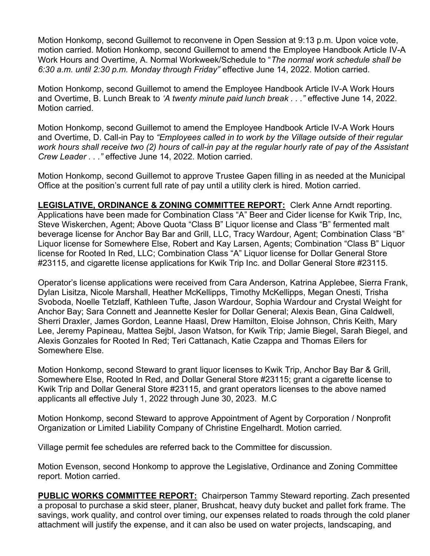Motion Honkomp, second Guillemot to reconvene in Open Session at 9:13 p.m. Upon voice vote, motion carried. Motion Honkomp, second Guillemot to amend the Employee Handbook Article IV-A Work Hours and Overtime, A. Normal Workweek/Schedule to "The normal work schedule shall be 6:30 a.m. until 2:30 p.m. Monday through Friday" effective June 14, 2022. Motion carried.

Motion Honkomp, second Guillemot to amend the Employee Handbook Article IV-A Work Hours and Overtime, B. Lunch Break to 'A twenty minute paid lunch break . . ." effective June 14, 2022. Motion carried.

Motion Honkomp, second Guillemot to amend the Employee Handbook Article IV-A Work Hours and Overtime, D. Call-in Pay to "Employees called in to work by the Village outside of their regular work hours shall receive two (2) hours of call-in pay at the regular hourly rate of pay of the Assistant Crew Leader . . ." effective June 14, 2022. Motion carried.

Motion Honkomp, second Guillemot to approve Trustee Gapen filling in as needed at the Municipal Office at the position's current full rate of pay until a utility clerk is hired. Motion carried.

LEGISLATIVE, ORDINANCE & ZONING COMMITTEE REPORT: Clerk Anne Arndt reporting. Applications have been made for Combination Class "A" Beer and Cider license for Kwik Trip, Inc, Steve Wiskerchen, Agent; Above Quota "Class B" Liquor license and Class "B" fermented malt beverage license for Anchor Bay Bar and Grill, LLC, Tracy Wardour, Agent; Combination Class "B" Liquor license for Somewhere Else, Robert and Kay Larsen, Agents; Combination "Class B" Liquor license for Rooted In Red, LLC; Combination Class "A" Liquor license for Dollar General Store #23115, and cigarette license applications for Kwik Trip Inc. and Dollar General Store #23115.

Operator's license applications were received from Cara Anderson, Katrina Applebee, Sierra Frank, Dylan Lisitza, Nicole Marshall, Heather McKellipps, Timothy McKellipps, Megan Onesti, Trisha Svoboda, Noelle Tetzlaff, Kathleen Tufte, Jason Wardour, Sophia Wardour and Crystal Weight for Anchor Bay; Sara Connett and Jeannette Kesler for Dollar General; Alexis Bean, Gina Caldwell, Sherri Draxler, James Gordon, Leanne Haasl, Drew Hamilton, Eloise Johnson, Chris Keith, Mary Lee, Jeremy Papineau, Mattea Sejbl, Jason Watson, for Kwik Trip; Jamie Biegel, Sarah Biegel, and Alexis Gonzales for Rooted In Red; Teri Cattanach, Katie Czappa and Thomas Eilers for Somewhere Else.

Motion Honkomp, second Steward to grant liquor licenses to Kwik Trip, Anchor Bay Bar & Grill, Somewhere Else, Rooted In Red, and Dollar General Store #23115; grant a cigarette license to Kwik Trip and Dollar General Store #23115, and grant operators licenses to the above named applicants all effective July 1, 2022 through June 30, 2023. M.C

Motion Honkomp, second Steward to approve Appointment of Agent by Corporation / Nonprofit Organization or Limited Liability Company of Christine Engelhardt. Motion carried.

Village permit fee schedules are referred back to the Committee for discussion.

Motion Evenson, second Honkomp to approve the Legislative, Ordinance and Zoning Committee report. Motion carried.

PUBLIC WORKS COMMITTEE REPORT: Chairperson Tammy Steward reporting. Zach presented a proposal to purchase a skid steer, planer, Brushcat, heavy duty bucket and pallet fork frame. The savings, work quality, and control over timing, our expenses related to roads through the cold planer attachment will justify the expense, and it can also be used on water projects, landscaping, and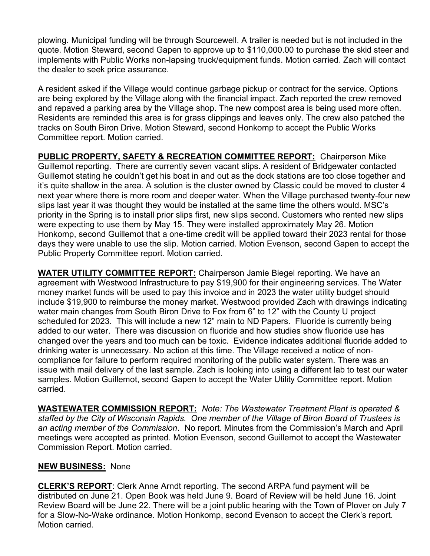plowing. Municipal funding will be through Sourcewell. A trailer is needed but is not included in the quote. Motion Steward, second Gapen to approve up to \$110,000.00 to purchase the skid steer and implements with Public Works non-lapsing truck/equipment funds. Motion carried. Zach will contact the dealer to seek price assurance.

A resident asked if the Village would continue garbage pickup or contract for the service. Options are being explored by the Village along with the financial impact. Zach reported the crew removed and repaved a parking area by the Village shop. The new compost area is being used more often. Residents are reminded this area is for grass clippings and leaves only. The crew also patched the tracks on South Biron Drive. Motion Steward, second Honkomp to accept the Public Works Committee report. Motion carried.

PUBLIC PROPERTY, SAFETY & RECREATION COMMITTEE REPORT: Chairperson Mike Guillemot reporting. There are currently seven vacant slips. A resident of Bridgewater contacted Guillemot stating he couldn't get his boat in and out as the dock stations are too close together and it's quite shallow in the area. A solution is the cluster owned by Classic could be moved to cluster 4 next year where there is more room and deeper water. When the Village purchased twenty-four new slips last year it was thought they would be installed at the same time the others would. MSC's priority in the Spring is to install prior slips first, new slips second. Customers who rented new slips were expecting to use them by May 15. They were installed approximately May 26. Motion Honkomp, second Guillemot that a one-time credit will be applied toward their 2023 rental for those days they were unable to use the slip. Motion carried. Motion Evenson, second Gapen to accept the Public Property Committee report. Motion carried.

**WATER UTILITY COMMITTEE REPORT:** Chairperson Jamie Biegel reporting. We have an agreement with Westwood Infrastructure to pay \$19,900 for their engineering services. The Water money market funds will be used to pay this invoice and in 2023 the water utility budget should include \$19,900 to reimburse the money market. Westwood provided Zach with drawings indicating water main changes from South Biron Drive to Fox from 6" to 12" with the County U project scheduled for 2023. This will include a new 12" main to ND Papers. Fluoride is currently being added to our water. There was discussion on fluoride and how studies show fluoride use has changed over the years and too much can be toxic. Evidence indicates additional fluoride added to drinking water is unnecessary. No action at this time. The Village received a notice of noncompliance for failure to perform required monitoring of the public water system. There was an issue with mail delivery of the last sample. Zach is looking into using a different lab to test our water samples. Motion Guillemot, second Gapen to accept the Water Utility Committee report. Motion carried.

WASTEWATER COMMISSION REPORT: Note: The Wastewater Treatment Plant is operated & staffed by the City of Wisconsin Rapids. One member of the Village of Biron Board of Trustees is an acting member of the Commission. No report. Minutes from the Commission's March and April meetings were accepted as printed. Motion Evenson, second Guillemot to accept the Wastewater Commission Report. Motion carried.

## **NEW BUSINESS: None**

**CLERK'S REPORT:** Clerk Anne Arndt reporting. The second ARPA fund payment will be distributed on June 21. Open Book was held June 9. Board of Review will be held June 16. Joint Review Board will be June 22. There will be a joint public hearing with the Town of Plover on July 7 for a Slow-No-Wake ordinance. Motion Honkomp, second Evenson to accept the Clerk's report. Motion carried.